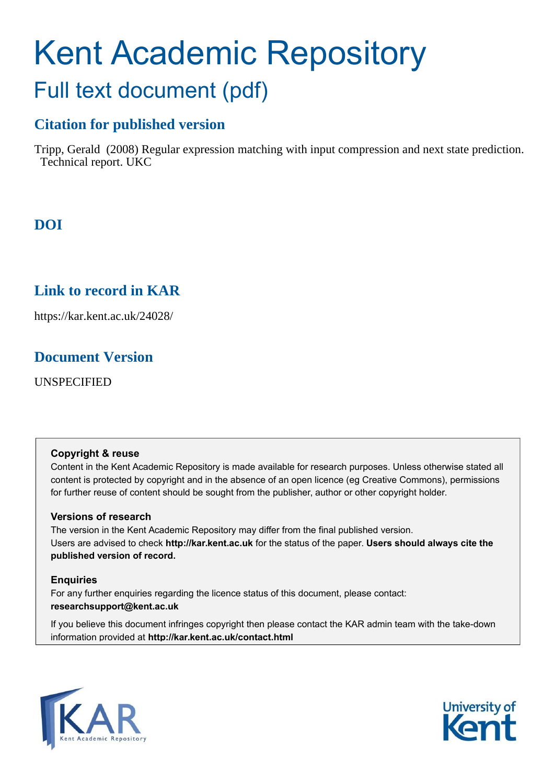# Kent Academic Repository Full text document (pdf)

# **Citation for published version**

Tripp, Gerald (2008) Regular expression matching with input compression and next state prediction. Technical report. UKC

# **DOI**

# **Link to record in KAR**

https://kar.kent.ac.uk/24028/

# **Document Version**

UNSPECIFIED

#### **Copyright & reuse**

Content in the Kent Academic Repository is made available for research purposes. Unless otherwise stated all content is protected by copyright and in the absence of an open licence (eg Creative Commons), permissions for further reuse of content should be sought from the publisher, author or other copyright holder.

#### **Versions of research**

The version in the Kent Academic Repository may differ from the final published version. Users are advised to check **http://kar.kent.ac.uk** for the status of the paper. **Users should always cite the published version of record.**

#### **Enquiries**

For any further enquiries regarding the licence status of this document, please contact: **researchsupport@kent.ac.uk**

If you believe this document infringes copyright then please contact the KAR admin team with the take-down information provided at **http://kar.kent.ac.uk/contact.html**



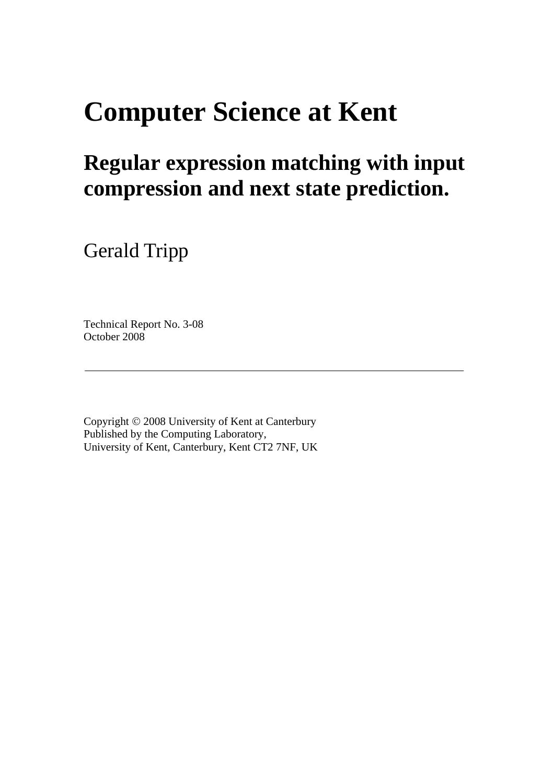# **Computer Science at Kent**

# **Regular expression matching with input compression and next state prediction.**

Gerald Tripp

Technical Report No. 3-08 October 2008

<span id="page-1-0"></span>Copyright © 2008 University of Kent at Canterbury Published by the Computing Laboratory, University of Kent, Canterbury, Kent CT2 7NF, UK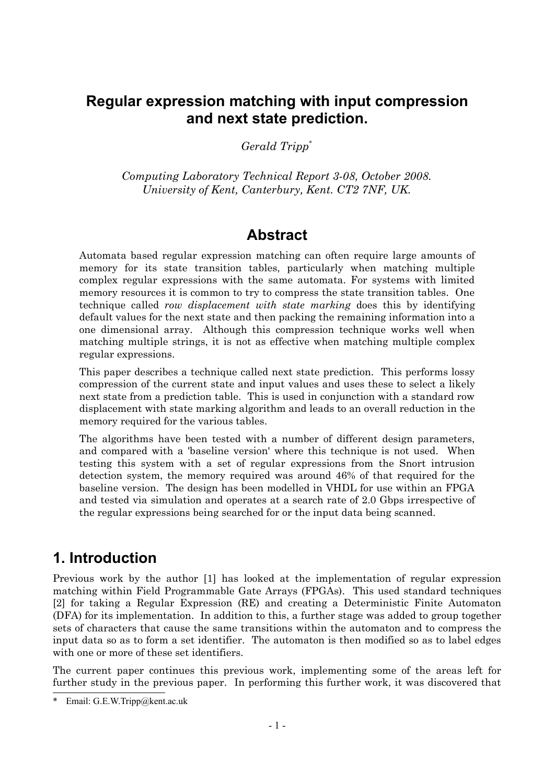## **Regular expression matching with input compression and next state prediction.**

*Gerald Tripp[\\*](#page-1-0)*

*Computing Laboratory Technical Report 3-08, October 2008. University of Kent, Canterbury, Kent. CT2 7NF, UK.*

## **Abstract**

Automata based regular expression matching can often require large amounts of memory for its state transition tables, particularly when matching multiple complex regular expressions with the same automata. For systems with limited memory resources it is common to try to compress the state transition tables. One technique called *row displacement with state marking* does this by identifying default values for the next state and then packing the remaining information into a one dimensional array. Although this compression technique works well when matching multiple strings, it is not as effective when matching multiple complex regular expressions.

This paper describes a technique called next state prediction. This performs lossy compression of the current state and input values and uses these to select a likely next state from a prediction table. This is used in conjunction with a standard row displacement with state marking algorithm and leads to an overall reduction in the memory required for the various tables.

The algorithms have been tested with a number of different design parameters, and compared with a 'baseline version' where this technique is not used. When testing this system with a set of regular expressions from the Snort intrusion detection system, the memory required was around 46% of that required for the baseline version. The design has been modelled in VHDL for use within an FPGA and tested via simulation and operates at a search rate of 2.0 Gbps irrespective of the regular expressions being searched for or the input data being scanned.

# **1. Introduction**

Previous work by the author [\[1\]](#page-13-0) has looked at the implementation of regular expression matching within Field Programmable Gate Arrays (FPGAs). This used standard techniques [\[2\]](#page-13-1) for taking a Regular Expression (RE) and creating a Deterministic Finite Automaton (DFA) for its implementation. In addition to this, a further stage was added to group together sets of characters that cause the same transitions within the automaton and to compress the input data so as to form a set identifier. The automaton is then modified so as to label edges with one or more of these set identifiers.

The current paper continues this previous work, implementing some of the areas left for further study in the previous paper. In performing this further work, it was discovered that

<sup>\*</sup> Email: G.E.W.Tripp@kent.ac.uk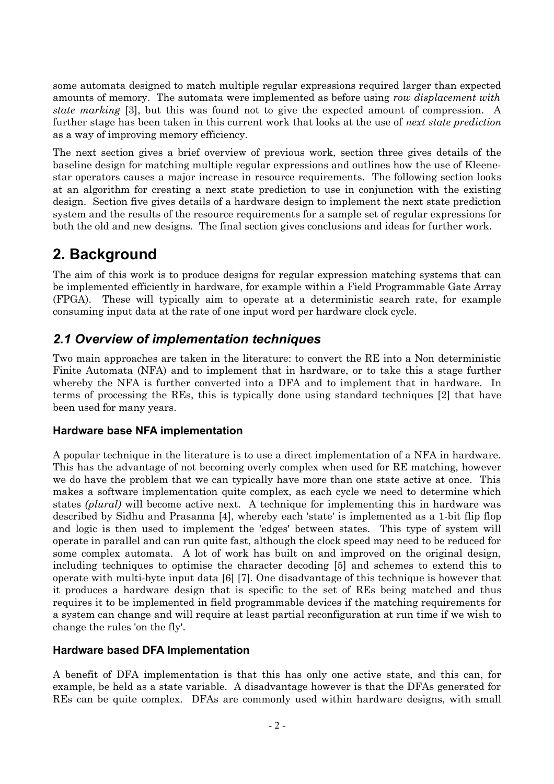some automata designed to match multiple regular expressions required larger than expected amounts of memory. The automata were implemented as before using *row displacement with state marking* [[3](#page-13-4)], but this was found not to give the expected amount of compression. A further stage has been taken in this current work that looks at the use of *next state prediction*  as a way of improving memory efficiency.

The next section gives a brief overview of previous work, section three gives details of the baseline design for matching multiple regular expressions and outlines how the use of Kleenestar operators causes a major increase in resource requirements. The following section looks at an algorithm for creating a next state prediction to use in conjunction with the existing design. Section five gives details of a hardware design to implement the next state prediction system and the results of the resource requirements for a sample set of regular expressions for both the old and new designs. The final section gives conclusions and ideas for further work.

# **2. Background**

The aim of this work is to produce designs for regular expression matching systems that can be implemented efficiently in hardware, for example within a Field Programmable Gate Array (FPGA). These will typically aim to operate at a deterministic search rate, for example consuming input data at the rate of one input word per hardware clock cycle.

## *2.1 Overview of implementation techniques*

Two main approaches are taken in the literature: to convert the RE into a Non deterministic Finite Automata (NFA) and to implement that in hardware, or to take this a stage further whereby the NFA is further converted into a DFA and to implement that in hardware. In terms of processing the REs, this is typically done using standard techniques [[2\]](#page-13-1) that have been used for many years.

#### **Hardware base NFA implementation**

A popular technique in the literature is to use a direct implementation of a NFA in hardware. This has the advantage of not becoming overly complex when used for RE matching, however we do have the problem that we can typically have more than one state active at once. This makes a software implementation quite complex, as each cycle we need to determine which states *(plural)* will become active next. A technique for implementing this in hardware was described by Sidhu and Prasanna [\[4\]](#page-13-3), whereby each 'state' is implemented as a 1-bit flip flop and logic is then used to implement the 'edges' between states. This type of system will operate in parallel and can run quite fast, although the clock speed may need to be reduced for some complex automata. A lot of work has built on and improved on the original design, including techniques to optimise the character decoding [\[5](#page-13-2)] and schemes to extend this to operate with multi-byte input data [[6](#page-14-1)] [[7\]](#page-14-0). One disadvantage of this technique is however that it produces a hardware design that is specific to the set of REs being matched and thus requires it to be implemented in field programmable devices if the matching requirements for a system can change and will require at least partial reconfiguration at run time if we wish to change the rules 'on the fly'.

#### <span id="page-3-0"></span>**Hardware based DFA Implementation**

<span id="page-3-1"></span>A benefit of DFA implementation is that this has only one active state, and this can, for example, be held as a state variable. A disadvantage however is that the DFAs generated for REs can be quite complex. DFAs are commonly used within hardware designs, with small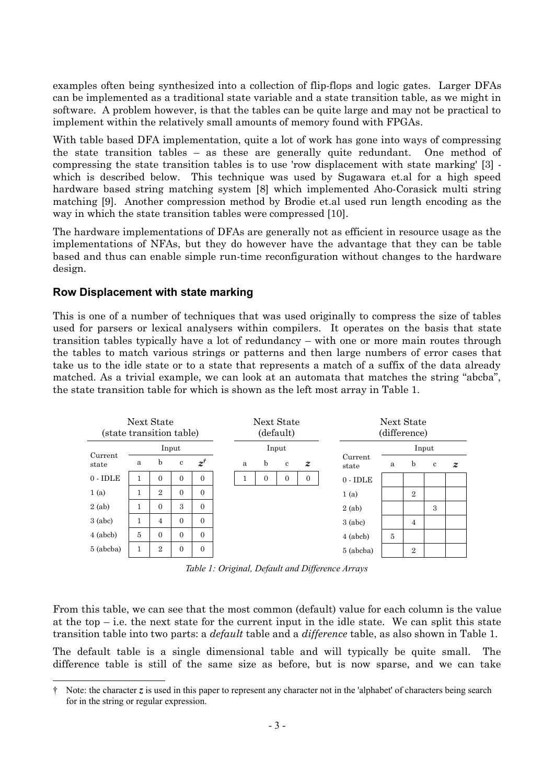examples often being synthesized into a collection of flip-flops and logic gates. Larger DFAs can be implemented as a traditional state variable and a state transition table, as we might in software. A problem however, is that the tables can be quite large and may not be practical to implement within the relatively small amounts of memory found with FPGAs.

With table based DFA implementation, quite a lot of work has gone into ways of compressing the state transition tables – as these are generally quite redundant. One method of compressing the state transition tables is to use 'row displacement with state marking' [[3\]](#page-13-4) which is described below. This technique was used by Sugawara et.al for a high speed hardware based string matching system [[8](#page-14-4)] which implemented Aho-Corasick multi string matching [\[9\]](#page-14-3). Another compression method by Brodie et.al used run length encoding as the way in which the state transition tables were compressed [\[10\]](#page-14-2).

The hardware implementations of DFAs are generally not as efficient in resource usage as the implementations of NFAs, but they do however have the advantage that they can be table based and thus can enable simple run-time reconfiguration without changes to the hardware design.

#### **Row Displacement with state marking**

This is one of a number of techniques that was used originally to compress the size of tables used for parsers or lexical analysers within compilers. It operates on the basis that state transition tables typically have a lot of redundancy – with one or more main routes through the tables to match various strings or patterns and then large numbers of error cases that take us to the idle state or to a state that represents a match of a suffix of the data already matched. As a trivial example, we can look at an automata that matches the string "abcba", the state transition table for which is shown as the left most array in [Table 1.](#page-3-0)

<span id="page-4-0"></span>

*Table 1: Original, Default and Difference Arrays*

From this table, we can see that the most common (default) value for each column is the value at the top  $-$  i.e. the next state for the current input in the idle state. We can split this state transition table into two parts: a *default* table and a *difference* table, as also shown in [Table 1.](#page-3-0)

The default table is a single dimensional table and will typically be quite small. The difference table is still of the same size as before, but is now sparse, and we can take

<sup>†</sup> Note: the character *z* is used in this paper to represent any character not in the 'alphabet' of characters being search for in the string or regular expression.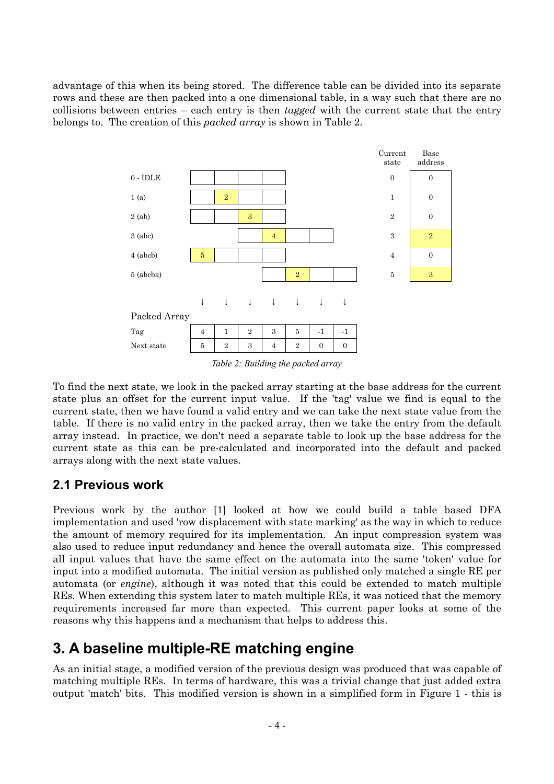advantage of this when its being stored. The difference table can be divided into its separate rows and these are then packed into a one dimensional table, in a way such that there are no collisions between entries – each entry is then *tagged* with the current state that the entry belongs to. The creation of this *packed array* is shown in [Table 2](#page-4-0).



<span id="page-5-0"></span>*Table 2: Building the packed array*

To find the next state, we look in the packed array starting at the base address for the current state plus an offset for the current input value. If the 'tag' value we find is equal to the current state, then we have found a valid entry and we can take the next state value from the table. If there is no valid entry in the packed array, then we take the entry from the default array instead. In practice, we don't need a separate table to look up the base address for the current state as this can be pre-calculated and incorporated into the default and packed arrays along with the next state values.

## **2.1 Previous work**

Previous work by the author [\[1](#page-13-0)] looked at how we could build a table based DFA implementation and used 'row displacement with state marking' as the way in which to reduce the amount of memory required for its implementation. An input compression system was also used to reduce input redundancy and hence the overall automata size. This compressed all input values that have the same effect on the automata into the same 'token' value for input into a modified automata. The initial version as published only matched a single RE per automata (or *engine*), although it was noted that this could be extended to match multiple REs. When extending this system later to match multiple REs, it was noticed that the memory requirements increased far more than expected. This current paper looks at some of the reasons why this happens and a mechanism that helps to address this.

# **3. A baseline multiple-RE matching engine**

<span id="page-5-1"></span>As an initial stage, a modified version of the previous design was produced that was capable of matching multiple REs. In terms of hardware, this was a trivial change that just added extra output 'match' bits. This modified version is shown in a simplified form in [Figure 1](#page-5-0) - this is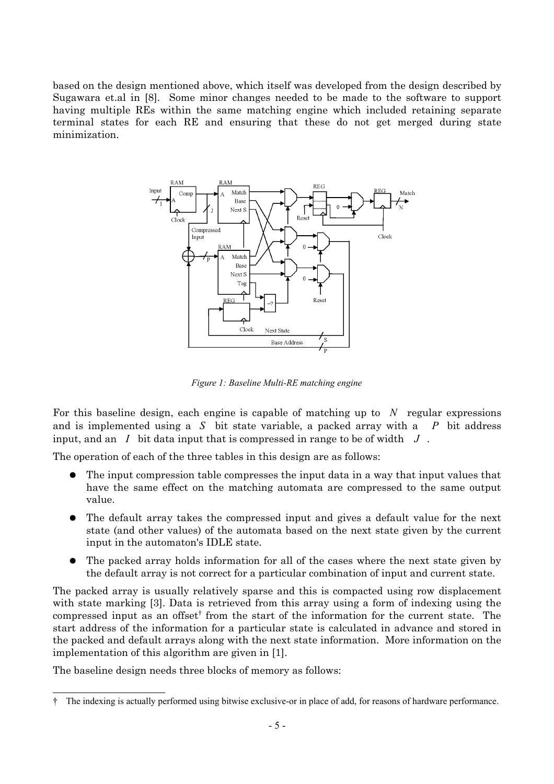based on the design mentioned above, which itself was developed from the design described by Sugawara et.al in [\[8](#page-14-4)]. Some minor changes needed to be made to the software to support having multiple REs within the same matching engine which included retaining separate terminal states for each RE and ensuring that these do not get merged during state minimization.



*Figure 1: Baseline Multi-RE matching engine*

For this baseline design, each engine is capable of matching up to *N* regular expressions and is implemented using a *S* bit state variable, a packed array with a *P* bit address input, and an *I* bit data input that is compressed in range to be of width *J* .

The operation of each of the three tables in this design are as follows:

- The input compression table compresses the input data in a way that input values that have the same effect on the matching automata are compressed to the same output value.
- <span id="page-6-0"></span>● The default array takes the compressed input and gives a default value for the next state (and other values) of the automata based on the next state given by the current input in the automaton's IDLE state.
- The packed array holds information for all of the cases where the next state given by the default array is not correct for a particular combination of input and current state.

The packed array is usually relatively sparse and this is compacted using row displacement with state marking [[3\]](#page-13-4). Data is retrieved from this array using a form of indexing using the compressed input as an offset<sup>[†](#page-5-1)</sup> from the start of the information for the current state. The start address of the information for a particular state is calculated in advance and stored in the packed and default arrays along with the next state information. More information on the implementation of this algorithm are given in [[1\]](#page-13-0).

The baseline design needs three blocks of memory as follows:

<sup>†</sup> The indexing is actually performed using bitwise exclusive-or in place of add, for reasons of hardware performance.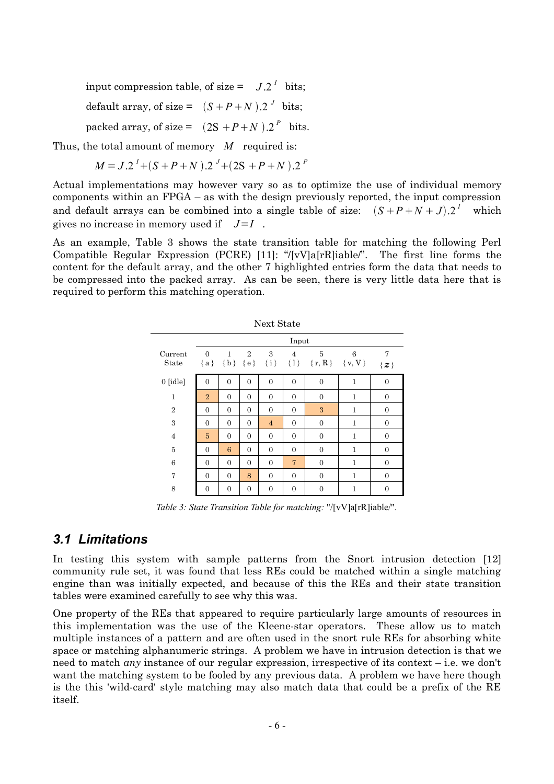input compression table, of size =  $J.2<sup>T</sup>$  bits;

default array, of size =  $(S+P+N)$ .2<sup>*J*</sup> bits;

packed array, of size =  $(2S + P + N) .2^P$  bits.

Thus, the total amount of memory *M* required is:

$$
M = J \cdot 2^{I} + (S + P + N) \cdot 2^{J} + (2S + P + N) \cdot 2^{P}
$$

Actual implementations may however vary so as to optimize the use of individual memory components within an FPGA – as with the design previously reported, the input compression and default arrays can be combined into a single table of size:  $(S+P+N+J) \cdot 2^I$  which gives no increase in memory used if *J*=*I* .

As an example, [Table 3](#page-6-0) shows the state transition table for matching the following Perl Compatible Regular Expression (PCRE) [[11\]](#page-14-6): "/[vV]a[rR]iable/". The first line forms the content for the default array, and the other 7 highlighted entries form the data that needs to be compressed into the packed array. As can be seen, there is very little data here that is required to perform this matching operation.

| Next State       |                   |                |                |                    |                           |                            |              |                  |  |  |
|------------------|-------------------|----------------|----------------|--------------------|---------------------------|----------------------------|--------------|------------------|--|--|
|                  | Input             |                |                |                    |                           |                            |              |                  |  |  |
| Current<br>State | $\Omega$<br>${a}$ | 1              | $\overline{2}$ | 3<br>${b} {e} {i}$ | $\overline{4}$<br>$\{1\}$ | 5<br>$\{r, R\}$ $\{v, V\}$ | 6            | 7<br>$\{z\}$     |  |  |
| 0 [idle]         | 0                 | $\theta$       | $\theta$       | $\overline{0}$     | $\overline{0}$            | $\overline{0}$             | 1            | $\overline{0}$   |  |  |
| $\mathbf{1}$     | $\overline{2}$    | $\theta$       | $\Omega$       | $\overline{0}$     | $\theta$                  | $\overline{0}$             | 1            | $\overline{0}$   |  |  |
| $\overline{2}$   | $\theta$          | $\overline{0}$ | $\overline{0}$ | $\overline{0}$     | $\overline{0}$            | 3                          | 1            | $\overline{0}$   |  |  |
| 3                | $\theta$          | $\theta$       | $\Omega$       | $\overline{4}$     | $\theta$                  | $\overline{0}$             | 1            | $\overline{0}$   |  |  |
| $\overline{4}$   | $\overline{5}$    | $\theta$       | $\Omega$       | $\overline{0}$     | $\Omega$                  | $\overline{0}$             | $\mathbf{1}$ | $\boldsymbol{0}$ |  |  |
| 5                | $\overline{0}$    | 6              | $\overline{0}$ | $\overline{0}$     | $\Omega$                  | $\mathbf{0}$               | $\mathbf{1}$ | $\overline{0}$   |  |  |
| 6                | $\overline{0}$    | $\overline{0}$ | $\overline{0}$ | $\overline{0}$     | 7                         | $\overline{0}$             | 1            | $\overline{0}$   |  |  |
| 7                | $\theta$          | $\theta$       | 8              | $\overline{0}$     | $\theta$                  | $\overline{0}$             | 1            | $\overline{0}$   |  |  |
| 8                | $\mathbf{0}$      | $\overline{0}$ | $\overline{0}$ | $\overline{0}$     | $\overline{0}$            | $\overline{0}$             | 1            | $\boldsymbol{0}$ |  |  |

<span id="page-7-0"></span>*Table 3: State Transition Table for matching:* "/[vV]a[rR]iable/"*.*

#### *3.1 Limitations*

In testing this system with sample patterns from the Snort intrusion detection [[12](#page-14-5)] community rule set, it was found that less REs could be matched within a single matching engine than was initially expected, and because of this the REs and their state transition tables were examined carefully to see why this was.

One property of the REs that appeared to require particularly large amounts of resources in this implementation was the use of the Kleene-star operators. These allow us to match multiple instances of a pattern and are often used in the snort rule REs for absorbing white space or matching alphanumeric strings. A problem we have in intrusion detection is that we need to match *any* instance of our regular expression, irrespective of its context – i.e. we don't want the matching system to be fooled by any previous data. A problem we have here though is the this 'wild-card' style matching may also match data that could be a prefix of the RE itself.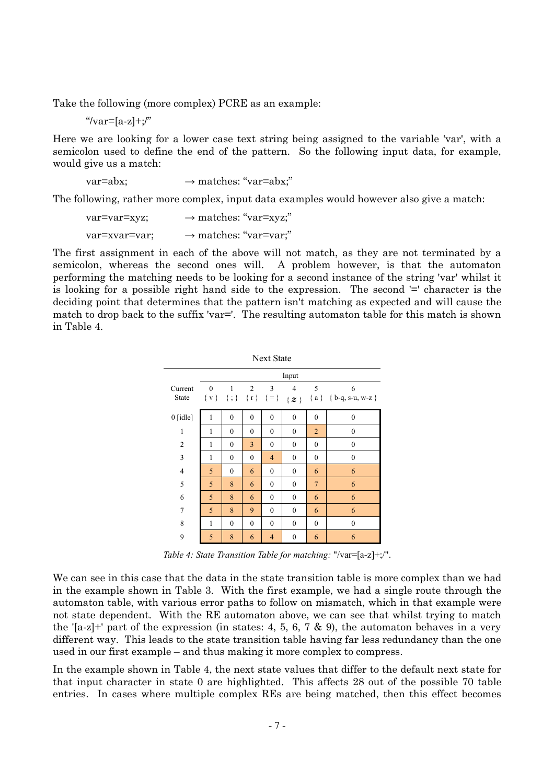Take the following (more complex) PCRE as an example:

 $\mu$ <sup>"</sup>/var=[a-z]+;/"

Here we are looking for a lower case text string being assigned to the variable 'var', with a semicolon used to define the end of the pattern. So the following input data, for example, would give us a match:

$$
var = abx; \longrightarrow matches: "var = abx;"
$$

The following, rather more complex, input data examples would however also give a match:

$$
var=var=xyz;
$$
  
\n
$$
var=var=xyz;
$$
  
\n
$$
var=var=var;
$$
  
\n
$$
var=var
$$
  
\n
$$
var=var
$$
  
\n
$$
var=var
$$
  
\n
$$
var=var
$$
  
\n
$$
var=var
$$
  
\n
$$
var=var
$$
  
\n
$$
var=var
$$
  
\n
$$
var=var
$$

The first assignment in each of the above will not match, as they are not terminated by a semicolon, whereas the second ones will. A problem however, is that the automaton performing the matching needs to be looking for a second instance of the string 'var' whilst it is looking for a possible right hand side to the expression. The second '=' character is the deciding point that determines that the pattern isn't matching as expected and will cause the match to drop back to the suffix 'var='. The resulting automaton table for this match is shown in [Table 4.](#page-7-0)

<span id="page-8-0"></span>

| <b>Next State</b> |                         |                |                                  |                |                  |                |                                 |  |  |
|-------------------|-------------------------|----------------|----------------------------------|----------------|------------------|----------------|---------------------------------|--|--|
|                   | Input                   |                |                                  |                |                  |                |                                 |  |  |
| Current<br>State  | $\mathbf{0}$<br>$\{v\}$ | 1              | $\overline{2}$<br>${; }$ {r} {=} | 3              | 4<br>$\{z\}$     | 5              | 6<br>${a}$ { $b-q$ , s-u, w-z } |  |  |
| $0$ [idle]        | $\mathbf{1}$            | $\mathbf{0}$   | $\mathbf{0}$                     | $\mathbf{0}$   | $\mathbf{0}$     | $\mathbf{0}$   | $\mathbf{0}$                    |  |  |
| $\mathbf{1}$      | 1                       | $\mathbf{0}$   | $\mathbf{0}$                     | $\mathbf{0}$   | $\mathbf{0}$     | $\overline{2}$ | $\boldsymbol{0}$                |  |  |
| $\overline{2}$    | 1                       | $\mathbf{0}$   | $\overline{3}$                   | $\mathbf{0}$   | $\boldsymbol{0}$ | $\mathbf{0}$   | $\boldsymbol{0}$                |  |  |
| 3                 | $\mathbf{1}$            | $\mathbf{0}$   | $\mathbf{0}$                     | $\overline{4}$ | $\mathbf{0}$     | $\mathbf{0}$   | $\boldsymbol{0}$                |  |  |
| $\overline{4}$    | 5                       | $\mathbf{0}$   | 6                                | $\mathbf{0}$   | $\mathbf{0}$     | 6              | 6                               |  |  |
| 5                 | 5                       | 8              | 6                                | $\mathbf{0}$   | $\mathbf{0}$     | $\overline{7}$ | 6                               |  |  |
| 6                 | 5                       | 8              | 6                                | $\mathbf{0}$   | $\mathbf{0}$     | 6              | 6                               |  |  |
| 7                 | 5                       | 8              | 9                                | $\theta$       | $\mathbf{0}$     | 6              | 6                               |  |  |
| 8                 | 1                       | $\overline{0}$ | $\mathbf{0}$                     | $\mathbf{0}$   | $\overline{0}$   | $\overline{0}$ | $\mathbf{0}$                    |  |  |
| 9                 | 5                       | 8              | 6                                | 4              | $\boldsymbol{0}$ | 6              | 6                               |  |  |

*Table 4: State Transition Table for matching:* "/var=[a-z]+;/".

We can see in this case that the data in the state transition table is more complex than we had in the example shown in [Table 3.](#page-6-0) With the first example, we had a single route through the automaton table, with various error paths to follow on mismatch, which in that example were not state dependent. With the RE automaton above, we can see that whilst trying to match the '[a-z]+' part of the expression (in states: 4, 5, 6, 7  $\&$  9), the automaton behaves in a very different way. This leads to the state transition table having far less redundancy than the one used in our first example – and thus making it more complex to compress.

In the example shown in [Table 4,](#page-7-0) the next state values that differ to the default next state for that input character in state 0 are highlighted. This affects 28 out of the possible 70 table entries. In cases where multiple complex REs are being matched, then this effect becomes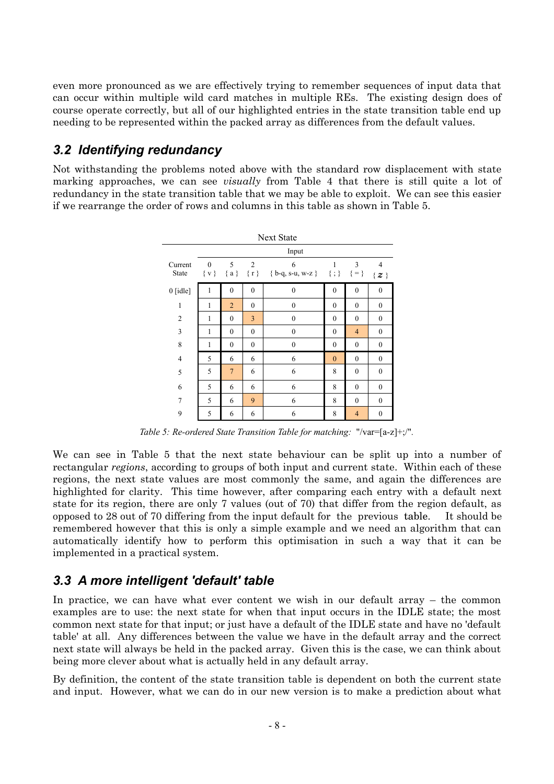even more pronounced as we are effectively trying to remember sequences of input data that can occur within multiple wild card matches in multiple REs. The existing design does of course operate correctly, but all of our highlighted entries in the state transition table end up needing to be represented within the packed array as differences from the default values.

## *3.2 Identifying redundancy*

Not withstanding the problems noted above with the standard row displacement with state marking approaches, we can see *visually* from [Table 4](#page-7-0) that there is still quite a lot of redundancy in the state transition table that we may be able to exploit. We can see this easier if we rearrange the order of rows and columns in this table as shown in [Table 5](#page-8-0).

| Next State               |              |                |                  |                                                                        |                  |                  |                           |  |  |  |
|--------------------------|--------------|----------------|------------------|------------------------------------------------------------------------|------------------|------------------|---------------------------|--|--|--|
|                          | Input        |                |                  |                                                                        |                  |                  |                           |  |  |  |
| Current<br>State         | $\bf{0}$     | 5              | $\overline{2}$   | 6<br>$\{v\}$ $\{a\}$ $\{r\}$ $\{b-q, s-u, w-z\}$ $\{\};\$ $\{\equiv\}$ | 1                | 3                | $\overline{4}$<br>$\{z\}$ |  |  |  |
| $0$ [idle]               | 1            | $\mathbf{0}$   | $\mathbf{0}$     | $\mathbf{0}$                                                           | $\boldsymbol{0}$ | $\mathbf{0}$     | $\mathbf{0}$              |  |  |  |
| $\mathbf{1}$             | 1            | $\overline{2}$ | $\mathbf{0}$     | $\boldsymbol{0}$                                                       | $\mathbf{0}$     | $\mathbf{0}$     | $\boldsymbol{0}$          |  |  |  |
| $\overline{2}$           | $\mathbf{1}$ | $\mathbf{0}$   | 3                | $\mathbf{0}$                                                           | $\mathbf{0}$     | $\mathbf{0}$     | $\mathbf{0}$              |  |  |  |
| 3                        | 1            | $\mathbf{0}$   | $\boldsymbol{0}$ | $\mathbf{0}$                                                           | $\mathbf{0}$     | $\overline{4}$   | $\mathbf{0}$              |  |  |  |
| 8                        | 1            | $\mathbf{0}$   | $\mathbf{0}$     | $\boldsymbol{0}$                                                       | $\mathbf{0}$     | $\mathbf{0}$     | $\mathbf{0}$              |  |  |  |
| $\overline{\mathcal{L}}$ | 5            | 6              | 6                | 6                                                                      | $\mathbf{0}$     | $\mathbf{0}$     | $\mathbf{0}$              |  |  |  |
| 5                        | 5            | $\overline{7}$ | 6                | 6                                                                      | 8                | $\boldsymbol{0}$ | $\mathbf{0}$              |  |  |  |
| 6                        | 5            | 6              | 6                | 6                                                                      | 8                | $\mathbf{0}$     | $\mathbf{0}$              |  |  |  |
| $\overline{7}$           | 5            | 6              | 9                | 6                                                                      | 8                | $\mathbf{0}$     | $\mathbf{0}$              |  |  |  |
| 9                        | 5            | 6              | 6                | 6                                                                      | 8                | $\overline{4}$   | $\mathbf{0}$              |  |  |  |

<span id="page-9-0"></span>*Table 5: Re-ordered State Transition Table for matching:* "/var=[a-z]+;/"*.*

We can see in [Table 5](#page-8-0) that the next state behaviour can be split up into a number of rectangular *regions*, according to groups of both input and current state. Within each of these regions, the next state values are most commonly the same, and again the differences are highlighted for clarity. This time however, after comparing each entry with a default next state for its region, there are only 7 values (out of 70) that differ from the region default, as opposed to 28 out of 70 differing from the input default for the previous table. It should be remembered however that this is only a simple example and we need an algorithm that can automatically identify how to perform this optimisation in such a way that it can be implemented in a practical system.

## *3.3 A more intelligent 'default' table*

In practice, we can have what ever content we wish in our default array – the common examples are to use: the next state for when that input occurs in the IDLE state; the most common next state for that input; or just have a default of the IDLE state and have no 'default table' at all. Any differences between the value we have in the default array and the correct next state will always be held in the packed array. Given this is the case, we can think about being more clever about what is actually held in any default array.

By definition, the content of the state transition table is dependent on both the current state and input. However, what we can do in our new version is to make a prediction about what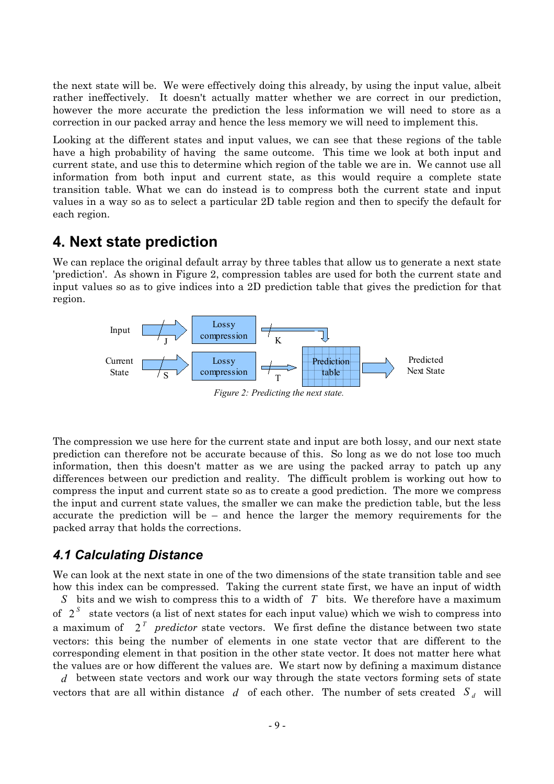the next state will be. We were effectively doing this already, by using the input value, albeit rather ineffectively. It doesn't actually matter whether we are correct in our prediction, however the more accurate the prediction the less information we will need to store as a correction in our packed array and hence the less memory we will need to implement this.

Looking at the different states and input values, we can see that these regions of the table have a high probability of having the same outcome. This time we look at both input and current state, and use this to determine which region of the table we are in. We cannot use all information from both input and current state, as this would require a complete state transition table. What we can do instead is to compress both the current state and input values in a way so as to select a particular 2D table region and then to specify the default for each region.

## **4. Next state prediction**

We can replace the original default array by three tables that allow us to generate a next state 'prediction'. As shown in [Figure 2](#page-9-0), compression tables are used for both the current state and input values so as to give indices into a 2D prediction table that gives the prediction for that region.



<span id="page-10-0"></span>The compression we use here for the current state and input are both lossy, and our next state prediction can therefore not be accurate because of this. So long as we do not lose too much information, then this doesn't matter as we are using the packed array to patch up any differences between our prediction and reality. The difficult problem is working out how to compress the input and current state so as to create a good prediction. The more we compress the input and current state values, the smaller we can make the prediction table, but the less accurate the prediction will be  $-$  and hence the larger the memory requirements for the packed array that holds the corrections.

### *4.1 Calculating Distance*

We can look at the next state in one of the two dimensions of the state transition table and see how this index can be compressed. Taking the current state first, we have an input of width *S* bits and we wish to compress this to a width of *T* bits. We therefore have a maximum of 2 *S* state vectors (a list of next states for each input value) which we wish to compress into a maximum of 2 *T predictor* state vectors. We first define the distance between two state vectors: this being the number of elements in one state vector that are different to the corresponding element in that position in the other state vector. It does not matter here what the values are or how different the values are. We start now by defining a maximum distance

*d* between state vectors and work our way through the state vectors forming sets of state vectors that are all within distance  $d$  of each other. The number of sets created  $S_d$  will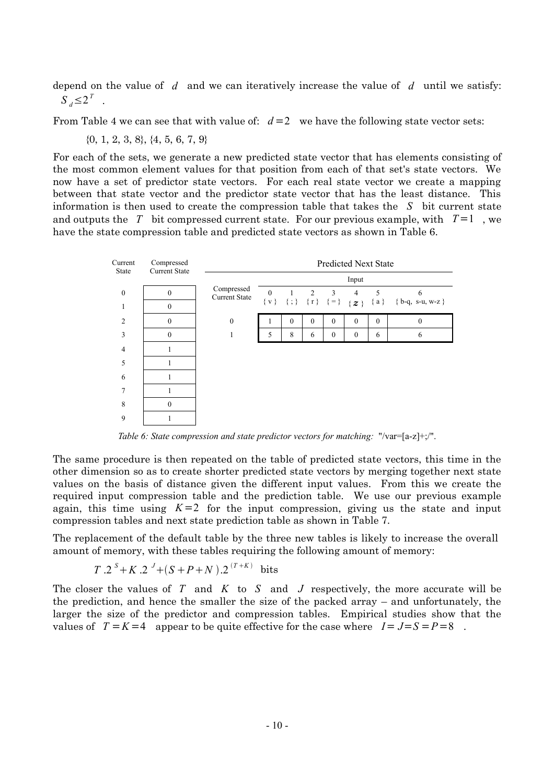depend on the value of *d* and we can iteratively increase the value of *d* until we satisfy:  $S_d \leq 2^T$ .

From [Table 4](#page-7-0) we can see that with value of:  $d=2$  we have the following state vector sets:

{0, 1, 2, 3, 8}, {4, 5, 6, 7, 9}

For each of the sets, we generate a new predicted state vector that has elements consisting of the most common element values for that position from each of that set's state vectors. We now have a set of predictor state vectors. For each real state vector we create a mapping between that state vector and the predictor state vector that has the least distance. This information is then used to create the compression table that takes the *S* bit current state and outputs the *T* bit compressed current state. For our previous example, with  $T=1$ , we have the state compression table and predicted state vectors as shown in [Table 6](#page-10-0).

<span id="page-11-0"></span>

*Table 6: State compression and state predictor vectors for matching:* "/var=[a-z]+;/".

The same procedure is then repeated on the table of predicted state vectors, this time in the other dimension so as to create shorter predicted state vectors by merging together next state values on the basis of distance given the different input values. From this we create the required input compression table and the prediction table. We use our previous example again, this time using  $K=2$  for the input compression, giving us the state and input compression tables and next state prediction table as shown in [Table 7.](#page-11-0)

The replacement of the default table by the three new tables is likely to increase the overall amount of memory, with these tables requiring the following amount of memory:

<span id="page-11-1"></span>
$$
T \tcdot 2^S + K \tcdot 2^J + (S + P + N) \tcdot 2^{(T + K)}
$$
 bits

The closer the values of *T* and *K* to *S* and *J* respectively, the more accurate will be the prediction, and hence the smaller the size of the packed array – and unfortunately, the larger the size of the predictor and compression tables. Empirical studies show that the values of  $T = K = 4$  appear to be quite effective for the case where  $I = J = S = P = 8$ .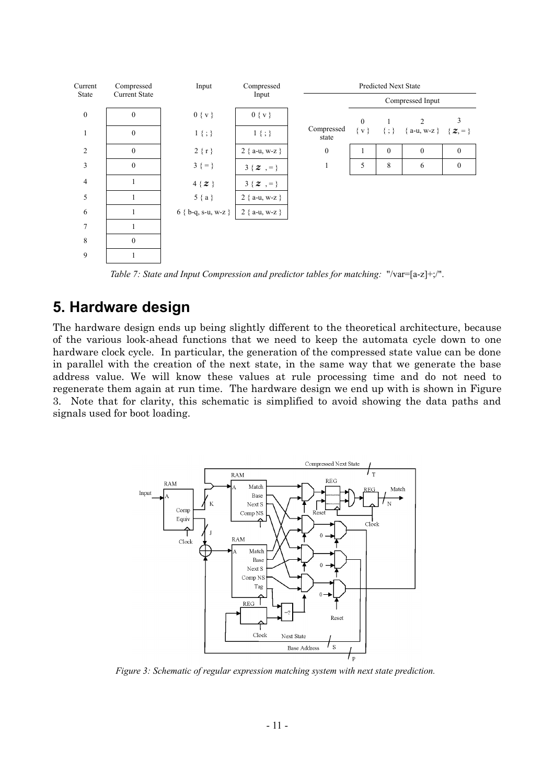

*Table 7: State and Input Compression and predictor tables for matching:* "/var=[a-z]+;/".

# **5. Hardware design**

The hardware design ends up being slightly different to the theoretical architecture, because of the various look-ahead functions that we need to keep the automata cycle down to one hardware clock cycle. In particular, the generation of the compressed state value can be done in parallel with the creation of the next state, in the same way that we generate the base address value. We will know these values at rule processing time and do not need to regenerate them again at run time. The hardware design we end up with is shown in [Figure](#page-11-1) [3.](#page-11-1) Note that for clarity, this schematic is simplified to avoid showing the data paths and signals used for boot loading.



*Figure 3: Schematic of regular expression matching system with next state prediction.*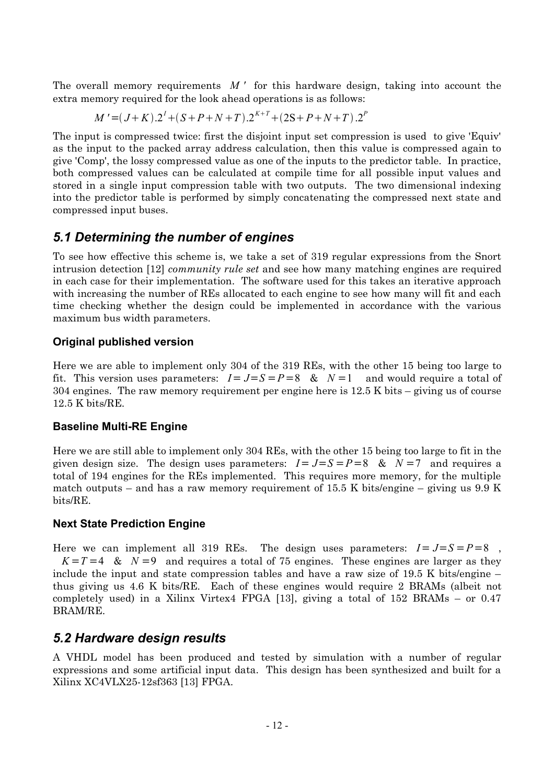The overall memory requirements *M '* for this hardware design, taking into account the extra memory required for the look ahead operations is as follows:

$$
M' = (J+K) \cdot 2^{I} + (S+P+N+T) \cdot 2^{K+T} + (2S+P+N+T) \cdot 2^{P}
$$

The input is compressed twice: first the disjoint input set compression is used to give 'Equiv' as the input to the packed array address calculation, then this value is compressed again to give 'Comp', the lossy compressed value as one of the inputs to the predictor table. In practice, both compressed values can be calculated at compile time for all possible input values and stored in a single input compression table with two outputs. The two dimensional indexing into the predictor table is performed by simply concatenating the compressed next state and compressed input buses.

### *5.1 Determining the number of engines*

To see how effective this scheme is, we take a set of 319 regular expressions from the Snort intrusion detection [[12](#page-14-5)] *community rule set* and see how many matching engines are required in each case for their implementation. The software used for this takes an iterative approach with increasing the number of REs allocated to each engine to see how many will fit and each time checking whether the design could be implemented in accordance with the various maximum bus width parameters.

#### **Original published version**

Here we are able to implement only 304 of the 319 REs, with the other 15 being too large to fit. This version uses parameters:  $I = J = S = P = 8$  &  $N = 1$  and would require a total of 304 engines. The raw memory requirement per engine here is 12.5 K bits – giving us of course 12.5 K bits/RE.

#### **Baseline Multi-RE Engine**

Here we are still able to implement only 304 REs, with the other 15 being too large to fit in the given design size. The design uses parameters:  $I = J = S = P = 8$  &  $N = 7$  and requires a total of 194 engines for the REs implemented. This requires more memory, for the multiple match outputs – and has a raw memory requirement of 15.5 K bits/engine – giving us  $9.9 \text{ K}$ bits/RE.

#### **Next State Prediction Engine**

<span id="page-13-0"></span>Here we can implement all 319 REs. The design uses parameters:  $I = J = S = P = 8$ ,  $K = T = 4$  &  $N = 9$  and requires a total of 75 engines. These engines are larger as they include the input and state compression tables and have a raw size of 19.5 K bits/engine – thus giving us 4.6 K bits/RE. Each of these engines would require 2 BRAMs (albeit not completely used) in a Xilinx Virtex4 FPGA [[13](#page-14-7)], giving a total of 152 BRAMs – or 0.47 BRAM/RE.

#### <span id="page-13-4"></span><span id="page-13-1"></span>*5.2 Hardware design results*

<span id="page-13-3"></span><span id="page-13-2"></span>A VHDL model has been produced and tested by simulation with a number of regular expressions and some artificial input data. This design has been synthesized and built for a Xilinx XC4VLX25-12sf363 [\[13\]](#page-14-7) FPGA.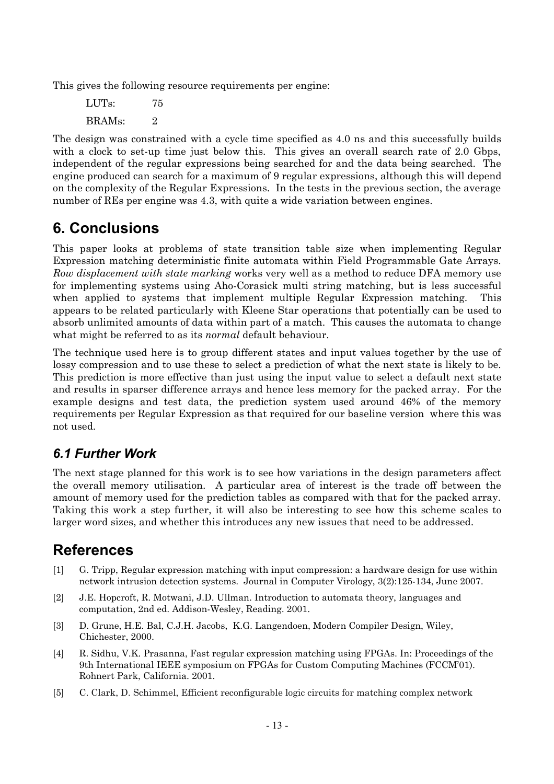This gives the following resource requirements per engine:

LUTs: 75  $BRAMs$  2

<span id="page-14-1"></span><span id="page-14-0"></span>The design was constrained with a cycle time specified as 4.0 ns and this successfully builds with a clock to set-up time just below this. This gives an overall search rate of 2.0 Gbps, independent of the regular expressions being searched for and the data being searched. The engine produced can search for a maximum of 9 regular expressions, although this will depend on the complexity of the Regular Expressions. In the tests in the previous section, the average number of REs per engine was 4.3, with quite a wide variation between engines.

# <span id="page-14-4"></span>**6. Conclusions**

<span id="page-14-3"></span><span id="page-14-2"></span>This paper looks at problems of state transition table size when implementing Regular Expression matching deterministic finite automata within Field Programmable Gate Arrays. *Row displacement with state marking* works very well as a method to reduce DFA memory use for implementing systems using Aho-Corasick multi string matching, but is less successful when applied to systems that implement multiple Regular Expression matching. This appears to be related particularly with Kleene Star operations that potentially can be used to absorb unlimited amounts of data within part of a match. This causes the automata to change what might be referred to as its *normal* default behaviour.

<span id="page-14-7"></span><span id="page-14-6"></span><span id="page-14-5"></span>The technique used here is to group different states and input values together by the use of lossy compression and to use these to select a prediction of what the next state is likely to be. This prediction is more effective than just using the input value to select a default next state and results in sparser difference arrays and hence less memory for the packed array. For the example designs and test data, the prediction system used around 46% of the memory requirements per Regular Expression as that required for our baseline version where this was not used.

# *6.1 Further Work*

The next stage planned for this work is to see how variations in the design parameters affect the overall memory utilisation. A particular area of interest is the trade off between the amount of memory used for the prediction tables as compared with that for the packed array. Taking this work a step further, it will also be interesting to see how this scheme scales to larger word sizes, and whether this introduces any new issues that need to be addressed.

# **References**

- [1] G. Tripp, Regular expression matching with input compression: a hardware design for use within network intrusion detection systems. Journal in Computer Virology, 3(2):125-134, June 2007.
- [2] J.E. Hopcroft, R. Motwani, J.D. Ullman. Introduction to automata theory, languages and computation, 2nd ed. Addison-Wesley, Reading. 2001.
- [3] D. Grune, H.E. Bal, C.J.H. Jacobs, K.G. Langendoen, Modern Compiler Design, Wiley, Chichester, 2000.
- [4] R. Sidhu, V.K. Prasanna, Fast regular expression matching using FPGAs. In: Proceedings of the 9th International IEEE symposium on FPGAs for Custom Computing Machines (FCCM'01). Rohnert Park, California. 2001.
- [5] C. Clark, D. Schimmel, Efficient reconfigurable logic circuits for matching complex network